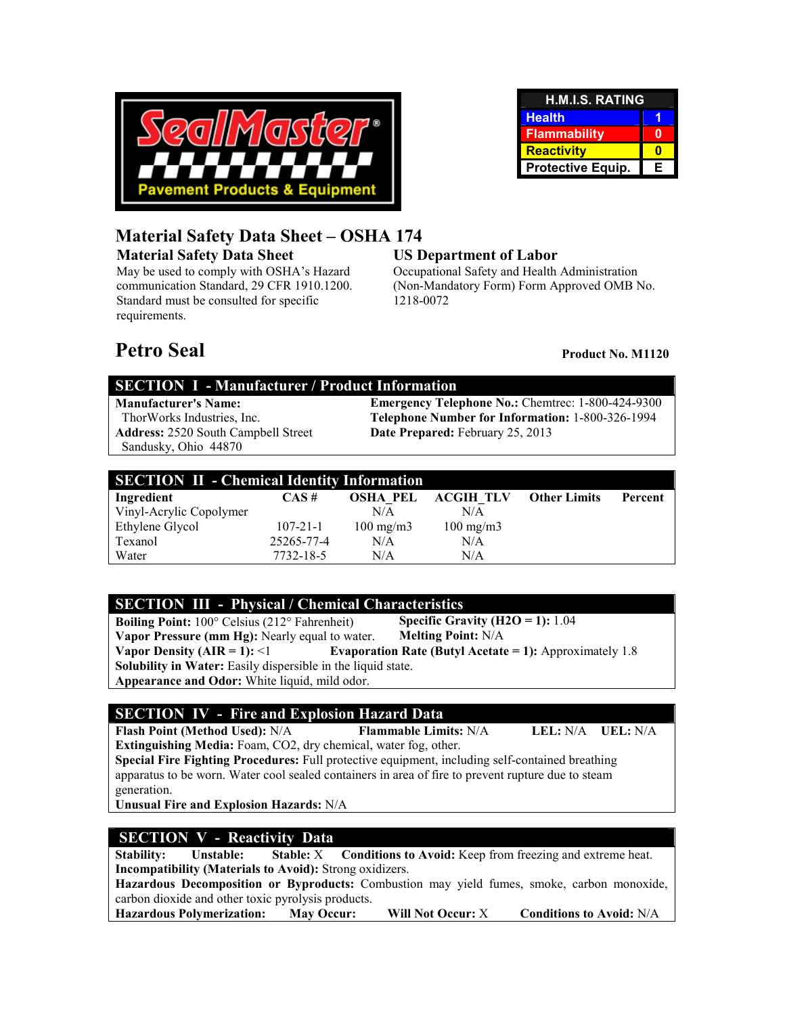

| <b>H.M.I.S. RATING</b> |   |  |
|------------------------|---|--|
| <b>Health</b>          |   |  |
| <b>Flammability</b>    |   |  |
| <b>Reactivity</b>      |   |  |
| Protective Equip.      | Е |  |

# **Material Safety Data Sheet – OSHA 174**

**Material Safety Data Sheet** 

May be used to comply with OSHA's Hazard communication Standard, 29 CFR 1910.1200. Standard must be consulted for specific requirements.

# **US Department of Labor**

Occupational Safety and Health Administration (Non-Mandatory Form) Form Approved OMB No. 1218-0072

# **Petro Seal Product No. M1120**

# **SECTION I - Manufacturer / Product Information**

**Address:** 2520 South Campbell Street Sandusky, Ohio 44870

**Manufacturer's Name:** Emergency Telephone No.: Chemtrec: 1-800-424-9300<br>ThorWorks Industries, Inc. **Elephone Number for Information:** 1-800-326-1994 Telephone Number for Information: 1-800-326-1994 **Date Prepared:** February 25, 2013

| <b>SECTION II - Chemical Identity Information</b> |                |                    |                    |                     |         |  |
|---------------------------------------------------|----------------|--------------------|--------------------|---------------------|---------|--|
| Ingredient                                        | $CAS \#$       | <b>OSHA PEL</b>    | <b>ACGIH TLV</b>   | <b>Other Limits</b> | Percent |  |
| Vinyl-Acrylic Copolymer                           |                | N/A                | N/A                |                     |         |  |
| Ethylene Glycol                                   | $107 - 21 - 1$ | $100 \text{ mg/m}$ | $100 \text{ mg/m}$ |                     |         |  |
| Texanol                                           | 25265-77-4     | N/A                | N/A                |                     |         |  |
| Water                                             | 7732-18-5      | N/A                | N/A                |                     |         |  |

# **SECTION III - Physical / Chemical Characteristics**

**Boiling Point:** 100° Celsius (212° Fahrenheit) **Vapor Pressure (mm Hg):** Nearly equal to water. **Specific Gravity (H2O = 1):** 1.04 **Melting Point:** N/A **Vapor Density (AIR = 1):**  $\leq 1$  Evaporation Rate (Butyl Acetate = 1): Approximately 1.8 **Solubility in Water:** Easily dispersible in the liquid state. **Appearance and Odor:** White liquid, mild odor.

# **SECTION IV - Fire and Explosion Hazard Data**

**Flash Point (Method Used):** N/A **Flammable Limits:** N/A **LEL:** N/A **UEL:** N/A **Extinguishing Media:** Foam, CO2, dry chemical, water fog, other. **Special Fire Fighting Procedures:** Full protective equipment, including self-contained breathing

apparatus to be worn. Water cool sealed containers in area of fire to prevent rupture due to steam generation.

**Unusual Fire and Explosion Hazards:** N/A

# **SECTION V - Reactivity Data**

**Stability:** Unstable: Stable: X Conditions to Avoid: Keep from freezing and extreme heat. **Incompatibility (Materials to Avoid):** Strong oxidizers. **Hazardous Decomposition or Byproducts:** Combustion may yield fumes, smoke, carbon monoxide, carbon dioxide and other toxic pyrolysis products. **Hazardous Polymerization: May Occur: Will Not Occur:** X **Conditions to Avoid:** N/A